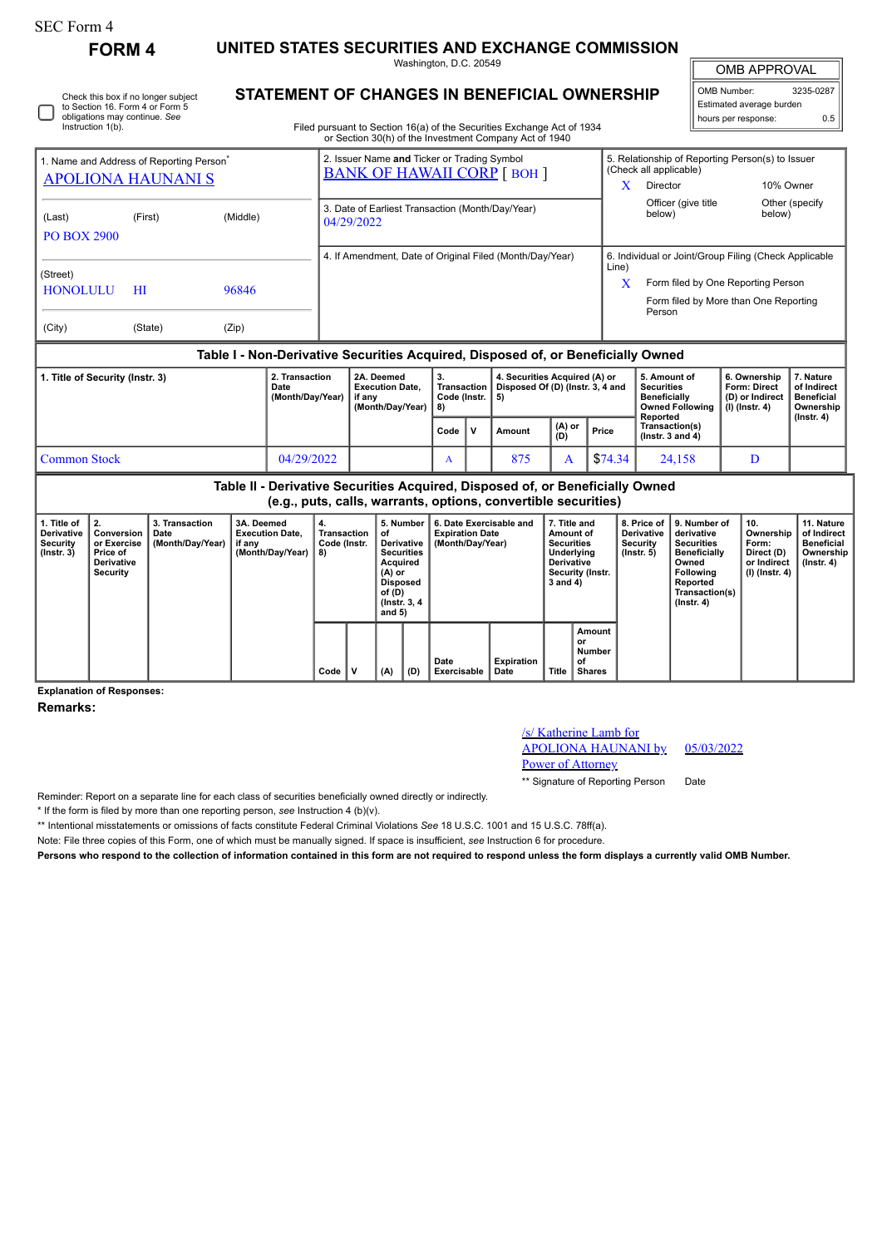## SEC Form 4

**FORM 4 UNITED STATES SECURITIES AND EXCHANGE COMMISSION** Washington, D.C. 20549

| <b>OMB APPROVAL</b>      |     |  |  |  |  |  |  |  |
|--------------------------|-----|--|--|--|--|--|--|--|
| 3235-0287<br>OMB Number: |     |  |  |  |  |  |  |  |
| Estimated average burden |     |  |  |  |  |  |  |  |
| hours per response:      | 0.5 |  |  |  |  |  |  |  |

Check this box if no longer subject to Section 16. Form 4 or Form 5 obligations may continue. *See* Instruction 1(b).

## **STATEMENT OF CHANGES IN BENEFICIAL OWNERSHIP**

Filed pursuant to Section 16(a) of the Securities Exchange Act of 1934 or Section 30(h) of the Investment Company Act of 1940

| 1. Name and Address of Reporting Person <sup>®</sup><br><b>APOLIONA HAUNANI S</b> |                                                                                  |                |                                    | 2. Issuer Name and Ticker or Trading Symbol<br><b>BANK OF HAWAII CORP [BOH ]</b> |   |                                                                                                        |                                | X | 5. Relationship of Reporting Person(s) to Issuer<br>(Check all applicable)<br>10% Owner<br>Director |                                                                                                                                                                        |                                                                            |                                                                                |  |
|-----------------------------------------------------------------------------------|----------------------------------------------------------------------------------|----------------|------------------------------------|----------------------------------------------------------------------------------|---|--------------------------------------------------------------------------------------------------------|--------------------------------|---|-----------------------------------------------------------------------------------------------------|------------------------------------------------------------------------------------------------------------------------------------------------------------------------|----------------------------------------------------------------------------|--------------------------------------------------------------------------------|--|
| (Last)<br><b>PO BOX 2900</b>                                                      | (First)                                                                          | (Middle)       |                                    | 3. Date of Earliest Transaction (Month/Day/Year)<br>04/29/2022                   |   |                                                                                                        |                                |   |                                                                                                     | Officer (give title<br>below)                                                                                                                                          | below)                                                                     | Other (specify                                                                 |  |
| (Street)<br><b>HONOLULU</b><br>(City)                                             | HI<br>(State)                                                                    | 96846<br>(Zip) |                                    | 4. If Amendment, Date of Original Filed (Month/Day/Year)                         |   |                                                                                                        |                                |   |                                                                                                     | 6. Individual or Joint/Group Filing (Check Applicable<br>Line)<br>$\mathbf x$<br>Form filed by One Reporting Person<br>Form filed by More than One Reporting<br>Person |                                                                            |                                                                                |  |
|                                                                                   | Table I - Non-Derivative Securities Acquired, Disposed of, or Beneficially Owned |                |                                    |                                                                                  |   |                                                                                                        |                                |   |                                                                                                     |                                                                                                                                                                        |                                                                            |                                                                                |  |
| 1. Title of Security (Instr. 3)<br>Date                                           |                                                                                  |                | 2. Transaction<br>(Month/Day/Year) | 2A. Deemed<br>3.<br><b>Execution Date.</b><br>if any<br>(Month/Day/Year)<br>8)   |   | 4. Securities Acquired (A) or<br>Transaction<br>Disposed Of (D) (Instr. 3, 4 and<br>Code (Instr.<br>5) |                                |   |                                                                                                     | 5. Amount of<br><b>Securities</b><br><b>Beneficially</b><br><b>Owned Following</b><br>Reported                                                                         | 6. Ownership<br><b>Form: Direct</b><br>(D) or Indirect<br>$(l)$ (lnstr. 4) | 7. Nature<br>of Indirect<br><b>Beneficial</b><br>Ownership<br>$($ lnstr. 4 $)$ |  |
|                                                                                   |                                                                                  |                |                                    |                                                                                  |   | v                                                                                                      | (A) or<br><b>Amount</b><br>(D) |   | Price                                                                                               | Transaction(s)<br>( $lnstr. 3 and 4$ )                                                                                                                                 |                                                                            |                                                                                |  |
| <b>Common Stock</b>                                                               |                                                                                  |                | 04/29/2022                         |                                                                                  | A |                                                                                                        | 875                            | A | \$74.34                                                                                             | 24,158                                                                                                                                                                 | D                                                                          |                                                                                |  |

**Table II - Derivative Securities Acquired, Disposed of, or Beneficially Owned (e.g., puts, calls, warrants, options, convertible securities)**

| 1. Title of<br>Derivative<br>Security<br>$($ lnstr. 3 $)$ | I 2.<br>Conversion<br>or Exercise<br>Price of<br>Derivative<br>Security | 3. Transaction<br>Date<br>(Month/Day/Year) | 3A. Deemed<br><b>Execution Date.</b><br>if any<br>(Month/Day/Year) | 4.<br>Transaction<br>Code (Instr.<br>8) |   | 5. Number<br>οf<br>Derivative<br><b>Securities</b><br>Acquired<br>$(A)$ or<br>Disposed<br>of (D)<br>(Instr. 3, 4)<br>and $5)$ |     | 6. Date Exercisable and<br><b>Expiration Date</b><br>(Month/Day/Year) | 7. Title and<br>Amount of<br><b>Securities</b><br>Underlying<br>Derivative<br>Security (Instr.<br>3 and 4) |       | 8. Price of I<br><b>Derivative</b><br>Security<br>$($ lnstr. 5 $)$ | l 9. Number of<br>derivative<br><b>Securities</b><br><b>Beneficially</b><br>Owned<br>Following<br>Reported<br>Transaction(s)<br>$($ lnstr. 4 $)$ | 10.<br>Ownership<br>Form:<br>Direct (D)<br>or Indirect<br>  (I) (Instr. 4) | 11. Nature<br>of Indirect<br><b>Beneficial</b><br>Ownership<br>(Instr. 4) |  |
|-----------------------------------------------------------|-------------------------------------------------------------------------|--------------------------------------------|--------------------------------------------------------------------|-----------------------------------------|---|-------------------------------------------------------------------------------------------------------------------------------|-----|-----------------------------------------------------------------------|------------------------------------------------------------------------------------------------------------|-------|--------------------------------------------------------------------|--------------------------------------------------------------------------------------------------------------------------------------------------|----------------------------------------------------------------------------|---------------------------------------------------------------------------|--|
|                                                           |                                                                         |                                            |                                                                    | Code                                    | v | (A)                                                                                                                           | (D) | Date<br>Exercisable                                                   | Expiration<br>Date                                                                                         | Title | Amount<br>or<br>Number<br>of<br><b>Shares</b>                      |                                                                                                                                                  |                                                                            |                                                                           |  |

**Explanation of Responses:**

**Remarks:**

## /s/ Katherine Lamb for APOLIONA HAUNANI by

Power of Attorney

05/03/2022

\*\* Signature of Reporting Person Date

Reminder: Report on a separate line for each class of securities beneficially owned directly or indirectly.

\* If the form is filed by more than one reporting person, *see* Instruction 4 (b)(v).

\*\* Intentional misstatements or omissions of facts constitute Federal Criminal Violations *See* 18 U.S.C. 1001 and 15 U.S.C. 78ff(a).

Note: File three copies of this Form, one of which must be manually signed. If space is insufficient, *see* Instruction 6 for procedure.

**Persons who respond to the collection of information contained in this form are not required to respond unless the form displays a currently valid OMB Number.**